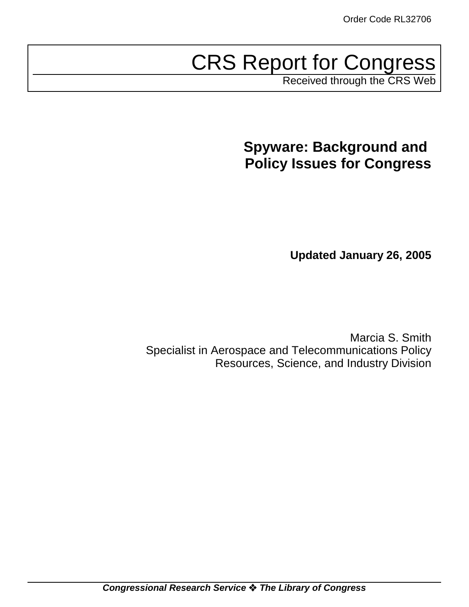# CRS Report for Congress

Received through the CRS Web

# **Spyware: Background and Policy Issues for Congress**

**Updated January 26, 2005**

Marcia S. Smith Specialist in Aerospace and Telecommunications Policy Resources, Science, and Industry Division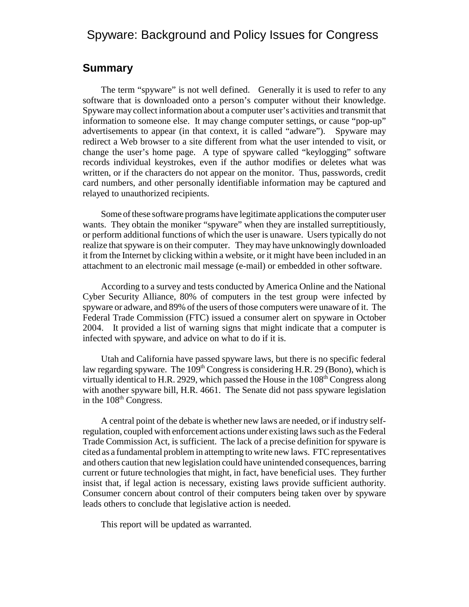# Spyware: Background and Policy Issues for Congress

#### **Summary**

The term "spyware" is not well defined. Generally it is used to refer to any software that is downloaded onto a person's computer without their knowledge. Spyware may collect information about a computer user's activities and transmit that information to someone else. It may change computer settings, or cause "pop-up" advertisements to appear (in that context, it is called "adware"). Spyware may redirect a Web browser to a site different from what the user intended to visit, or change the user's home page. A type of spyware called "keylogging" software records individual keystrokes, even if the author modifies or deletes what was written, or if the characters do not appear on the monitor. Thus, passwords, credit card numbers, and other personally identifiable information may be captured and relayed to unauthorized recipients.

Some of these software programs have legitimate applications the computer user wants. They obtain the moniker "spyware" when they are installed surreptitiously, or perform additional functions of which the user is unaware. Users typically do not realize that spyware is on their computer. They may have unknowingly downloaded it from the Internet by clicking within a website, or it might have been included in an attachment to an electronic mail message (e-mail) or embedded in other software.

According to a survey and tests conducted by America Online and the National Cyber Security Alliance, 80% of computers in the test group were infected by spyware or adware, and 89% of the users of those computers were unaware of it. The Federal Trade Commission (FTC) issued a consumer alert on spyware in October 2004. It provided a list of warning signs that might indicate that a computer is infected with spyware, and advice on what to do if it is.

Utah and California have passed spyware laws, but there is no specific federal law regarding spyware. The  $109<sup>th</sup>$  Congress is considering H.R. 29 (Bono), which is virtually identical to H.R. 2929, which passed the House in the  $108<sup>th</sup>$  Congress along with another spyware bill, H.R. 4661. The Senate did not pass spyware legislation in the 108<sup>th</sup> Congress.

A central point of the debate is whether new laws are needed, or if industry selfregulation, coupled with enforcement actions under existing laws such as the Federal Trade Commission Act, is sufficient. The lack of a precise definition for spyware is cited as a fundamental problem in attempting to write new laws. FTC representatives and others caution that new legislation could have unintended consequences, barring current or future technologies that might, in fact, have beneficial uses. They further insist that, if legal action is necessary, existing laws provide sufficient authority. Consumer concern about control of their computers being taken over by spyware leads others to conclude that legislative action is needed.

This report will be updated as warranted.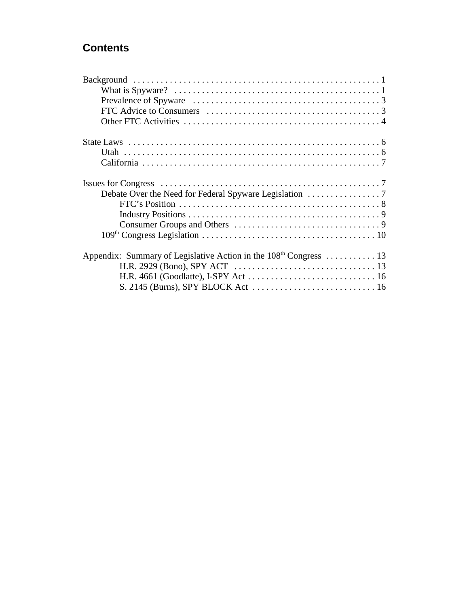# **Contents**

| What is Spyware? $\dots \dots \dots \dots \dots \dots \dots \dots \dots \dots \dots \dots \dots \dots \dots \dots \dots$ |
|--------------------------------------------------------------------------------------------------------------------------|
|                                                                                                                          |
|                                                                                                                          |
|                                                                                                                          |
|                                                                                                                          |
|                                                                                                                          |
|                                                                                                                          |
|                                                                                                                          |
|                                                                                                                          |
|                                                                                                                          |
|                                                                                                                          |
|                                                                                                                          |
|                                                                                                                          |
| Appendix: Summary of Legislative Action in the 108 <sup>th</sup> Congress  13                                            |
|                                                                                                                          |
|                                                                                                                          |
|                                                                                                                          |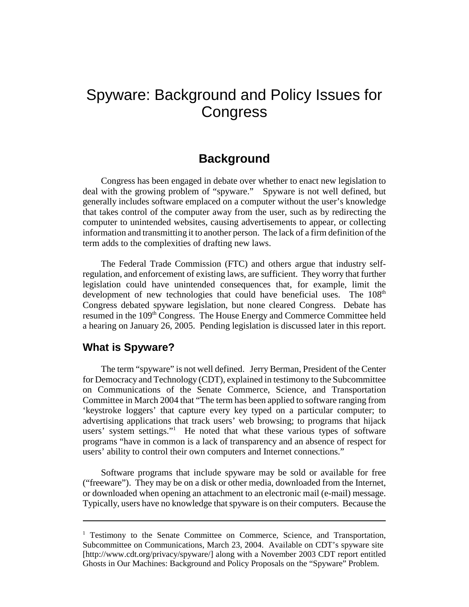# Spyware: Background and Policy Issues for **Congress**

# **Background**

Congress has been engaged in debate over whether to enact new legislation to deal with the growing problem of "spyware." Spyware is not well defined, but generally includes software emplaced on a computer without the user's knowledge that takes control of the computer away from the user, such as by redirecting the computer to unintended websites, causing advertisements to appear, or collecting information and transmitting it to another person. The lack of a firm definition of the term adds to the complexities of drafting new laws.

The Federal Trade Commission (FTC) and others argue that industry selfregulation, and enforcement of existing laws, are sufficient. They worry that further legislation could have unintended consequences that, for example, limit the development of new technologies that could have beneficial uses. The 108<sup>th</sup> Congress debated spyware legislation, but none cleared Congress. Debate has resumed in the 109<sup>th</sup> Congress. The House Energy and Commerce Committee held a hearing on January 26, 2005. Pending legislation is discussed later in this report.

#### **What is Spyware?**

The term "spyware" is not well defined. Jerry Berman, President of the Center for Democracy and Technology (CDT), explained in testimony to the Subcommittee on Communications of the Senate Commerce, Science, and Transportation Committee in March 2004 that "The term has been applied to software ranging from 'keystroke loggers' that capture every key typed on a particular computer; to advertising applications that track users' web browsing; to programs that hijack users' system settings."<sup>1</sup> He noted that what these various types of software programs "have in common is a lack of transparency and an absence of respect for users' ability to control their own computers and Internet connections."

Software programs that include spyware may be sold or available for free ("freeware"). They may be on a disk or other media, downloaded from the Internet, or downloaded when opening an attachment to an electronic mail (e-mail) message. Typically, users have no knowledge that spyware is on their computers. Because the

<sup>&</sup>lt;sup>1</sup> Testimony to the Senate Committee on Commerce, Science, and Transportation, Subcommittee on Communications, March 23, 2004. Available on CDT's spyware site [http://www.cdt.org/privacy/spyware/] along with a November 2003 CDT report entitled Ghosts in Our Machines: Background and Policy Proposals on the "Spyware" Problem.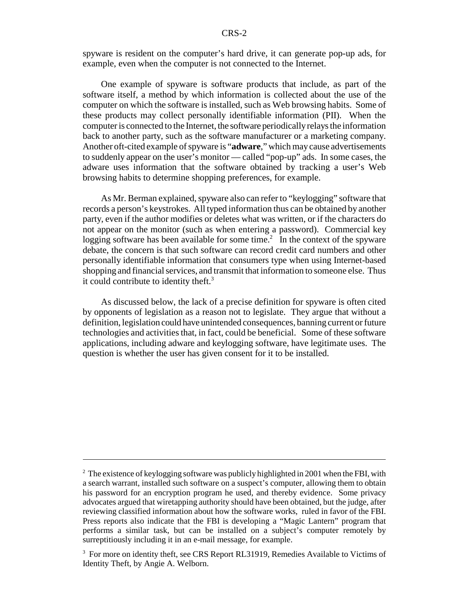spyware is resident on the computer's hard drive, it can generate pop-up ads, for example, even when the computer is not connected to the Internet.

One example of spyware is software products that include, as part of the software itself, a method by which information is collected about the use of the computer on which the software is installed, such as Web browsing habits. Some of these products may collect personally identifiable information (PII). When the computer is connected to the Internet, the software periodically relays the information back to another party, such as the software manufacturer or a marketing company. Another oft-cited example of spyware is "**adware**," which may cause advertisements to suddenly appear on the user's monitor — called "pop-up" ads. In some cases, the adware uses information that the software obtained by tracking a user's Web browsing habits to determine shopping preferences, for example.

As Mr. Berman explained, spyware also can refer to "keylogging" software that records a person's keystrokes. All typed information thus can be obtained by another party, even if the author modifies or deletes what was written, or if the characters do not appear on the monitor (such as when entering a password). Commercial key logging software has been available for some time.<sup>2</sup> In the context of the spyware debate, the concern is that such software can record credit card numbers and other personally identifiable information that consumers type when using Internet-based shopping and financial services, and transmit that information to someone else. Thus it could contribute to identity theft. $3$ 

As discussed below, the lack of a precise definition for spyware is often cited by opponents of legislation as a reason not to legislate. They argue that without a definition, legislation could have unintended consequences, banning current or future technologies and activities that, in fact, could be beneficial. Some of these software applications, including adware and keylogging software, have legitimate uses. The question is whether the user has given consent for it to be installed.

 $2^2$  The existence of keylogging software was publicly highlighted in 2001 when the FBI, with a search warrant, installed such software on a suspect's computer, allowing them to obtain his password for an encryption program he used, and thereby evidence. Some privacy advocates argued that wiretapping authority should have been obtained, but the judge, after reviewing classified information about how the software works, ruled in favor of the FBI. Press reports also indicate that the FBI is developing a "Magic Lantern" program that performs a similar task, but can be installed on a subject's computer remotely by surreptitiously including it in an e-mail message, for example.

<sup>&</sup>lt;sup>3</sup> For more on identity theft, see CRS Report RL31919, Remedies Available to Victims of Identity Theft, by Angie A. Welborn.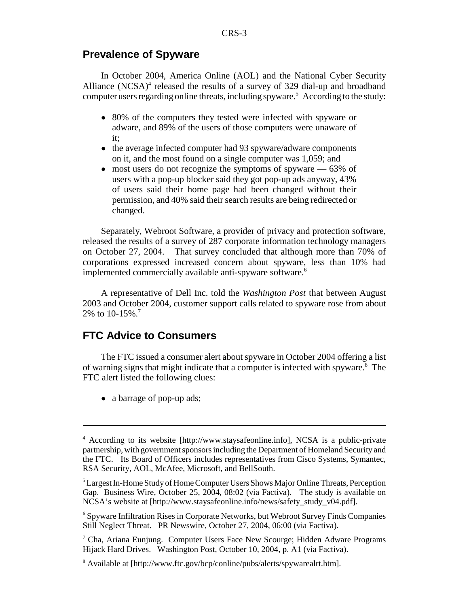#### **Prevalence of Spyware**

In October 2004, America Online (AOL) and the National Cyber Security Alliance  $(NCSA)^4$  released the results of a survey of 329 dial-up and broadband computer users regarding online threats, including spyware.<sup>5</sup> According to the study:

- 80% of the computers they tested were infected with spyware or adware, and 89% of the users of those computers were unaware of it;
- the average infected computer had 93 spyware/adware components on it, and the most found on a single computer was 1,059; and
- $\bullet$  most users do not recognize the symptoms of spyware  $-63\%$  of users with a pop-up blocker said they got pop-up ads anyway, 43% of users said their home page had been changed without their permission, and 40% said their search results are being redirected or changed.

Separately, Webroot Software, a provider of privacy and protection software, released the results of a survey of 287 corporate information technology managers on October 27, 2004. That survey concluded that although more than 70% of corporations expressed increased concern about spyware, less than 10% had implemented commercially available anti-spyware software.<sup>6</sup>

A representative of Dell Inc. told the *Washington Post* that between August 2003 and October 2004, customer support calls related to spyware rose from about 2% to 10-15%.7

#### **FTC Advice to Consumers**

The FTC issued a consumer alert about spyware in October 2004 offering a list of warning signs that might indicate that a computer is infected with spyware.<sup>8</sup> The FTC alert listed the following clues:

• a barrage of pop-up ads;

<sup>&</sup>lt;sup>4</sup> According to its website [http://www.staysafeonline.info], NCSA is a public-private partnership, with government sponsors including the Department of Homeland Security and the FTC. Its Board of Officers includes representatives from Cisco Systems, Symantec, RSA Security, AOL, McAfee, Microsoft, and BellSouth.

<sup>&</sup>lt;sup>5</sup> Largest In-Home Study of Home Computer Users Shows Major Online Threats, Perception Gap. Business Wire, October 25, 2004, 08:02 (via Factiva). The study is available on NCSA's website at [http://www.staysafeonline.info/news/safety\_study\_v04.pdf].

<sup>&</sup>lt;sup>6</sup> Spyware Infiltration Rises in Corporate Networks, but Webroot Survey Finds Companies Still Neglect Threat. PR Newswire, October 27, 2004, 06:00 (via Factiva).

<sup>&</sup>lt;sup>7</sup> Cha, Ariana Eunjung. Computer Users Face New Scourge; Hidden Adware Programs Hijack Hard Drives. Washington Post, October 10, 2004, p. A1 (via Factiva).

<sup>&</sup>lt;sup>8</sup> Available at [http://www.ftc.gov/bcp/conline/pubs/alerts/spywarealrt.htm].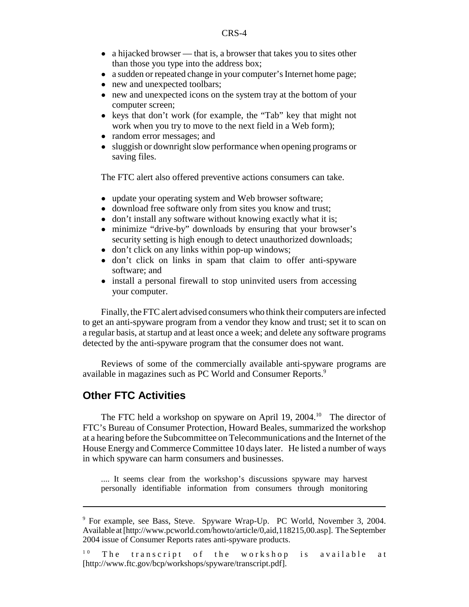- $\bullet$  a hijacked browser that is, a browser that takes you to sites other than those you type into the address box;
- a sudden or repeated change in your computer's Internet home page;
- new and unexpected toolbars;
- new and unexpected icons on the system tray at the bottom of your computer screen;
- ! keys that don't work (for example, the "Tab" key that might not work when you try to move to the next field in a Web form);
- random error messages; and
- sluggish or downright slow performance when opening programs or saving files.

The FTC alert also offered preventive actions consumers can take.

- update your operating system and Web browser software;
- download free software only from sites you know and trust;
- don't install any software without knowing exactly what it is;
- minimize "drive-by" downloads by ensuring that your browser's security setting is high enough to detect unauthorized downloads;
- don't click on any links within pop-up windows;
- don't click on links in spam that claim to offer anti-spyware software; and
- install a personal firewall to stop uninvited users from accessing your computer.

Finally, the FTC alert advised consumers who think their computers are infected to get an anti-spyware program from a vendor they know and trust; set it to scan on a regular basis, at startup and at least once a week; and delete any software programs detected by the anti-spyware program that the consumer does not want.

Reviews of some of the commercially available anti-spyware programs are available in magazines such as PC World and Consumer Reports.<sup>9</sup>

## **Other FTC Activities**

The FTC held a workshop on spyware on April 19, 2004.<sup>10</sup> The director of FTC's Bureau of Consumer Protection, Howard Beales, summarized the workshop at a hearing before the Subcommittee on Telecommunications and the Internet of the House Energy and Commerce Committee 10 days later. He listed a number of ways in which spyware can harm consumers and businesses.

.... It seems clear from the workshop's discussions spyware may harvest personally identifiable information from consumers through monitoring

<sup>9</sup> For example, see Bass, Steve. Spyware Wrap-Up. PC World, November 3, 2004. Available at [http://www.pcworld.com/howto/article/0,aid,118215,00.asp]. The September 2004 issue of Consumer Reports rates anti-spyware products.

 $10$  The transcript of the workshop is available at [http://www.ftc.gov/bcp/workshops/spyware/transcript.pdf].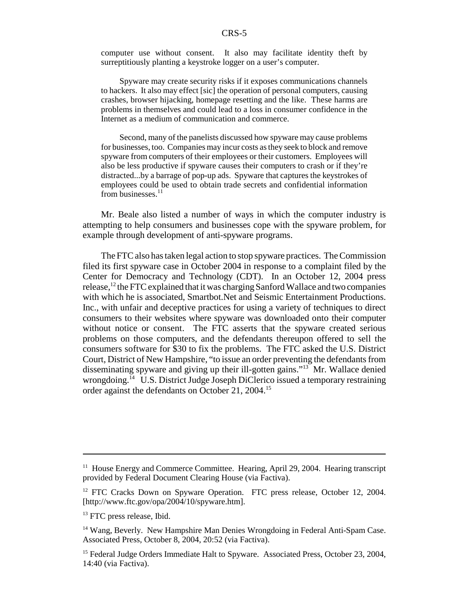computer use without consent. It also may facilitate identity theft by surreptitiously planting a keystroke logger on a user's computer.

Spyware may create security risks if it exposes communications channels to hackers. It also may effect [sic] the operation of personal computers, causing crashes, browser hijacking, homepage resetting and the like. These harms are problems in themselves and could lead to a loss in consumer confidence in the Internet as a medium of communication and commerce.

Second, many of the panelists discussed how spyware may cause problems for businesses, too. Companies may incur costs as they seek to block and remove spyware from computers of their employees or their customers. Employees will also be less productive if spyware causes their computers to crash or if they're distracted...by a barrage of pop-up ads. Spyware that captures the keystrokes of employees could be used to obtain trade secrets and confidential information from businesses.<sup>11</sup>

Mr. Beale also listed a number of ways in which the computer industry is attempting to help consumers and businesses cope with the spyware problem, for example through development of anti-spyware programs.

The FTC also has taken legal action to stop spyware practices. The Commission filed its first spyware case in October 2004 in response to a complaint filed by the Center for Democracy and Technology (CDT). In an October 12, 2004 press release,  $^{12}$  the FTC explained that it was charging Sanford Wallace and two companies with which he is associated, Smartbot.Net and Seismic Entertainment Productions. Inc., with unfair and deceptive practices for using a variety of techniques to direct consumers to their websites where spyware was downloaded onto their computer without notice or consent. The FTC asserts that the spyware created serious problems on those computers, and the defendants thereupon offered to sell the consumers software for \$30 to fix the problems. The FTC asked the U.S. District Court, District of New Hampshire, "to issue an order preventing the defendants from disseminating spyware and giving up their ill-gotten gains."13 Mr. Wallace denied wrongdoing.<sup>14</sup> U.S. District Judge Joseph DiClerico issued a temporary restraining order against the defendants on October 21, 2004.15

<sup>&</sup>lt;sup>11</sup> House Energy and Commerce Committee. Hearing, April 29, 2004. Hearing transcript provided by Federal Document Clearing House (via Factiva).

<sup>&</sup>lt;sup>12</sup> FTC Cracks Down on Spyware Operation. FTC press release, October 12, 2004. [http://www.ftc.gov/opa/2004/10/spyware.htm].

<sup>&</sup>lt;sup>13</sup> FTC press release, Ibid.

<sup>&</sup>lt;sup>14</sup> Wang, Beverly. New Hampshire Man Denies Wrongdoing in Federal Anti-Spam Case. Associated Press, October 8, 2004, 20:52 (via Factiva).

<sup>&</sup>lt;sup>15</sup> Federal Judge Orders Immediate Halt to Spyware. Associated Press, October 23, 2004, 14:40 (via Factiva).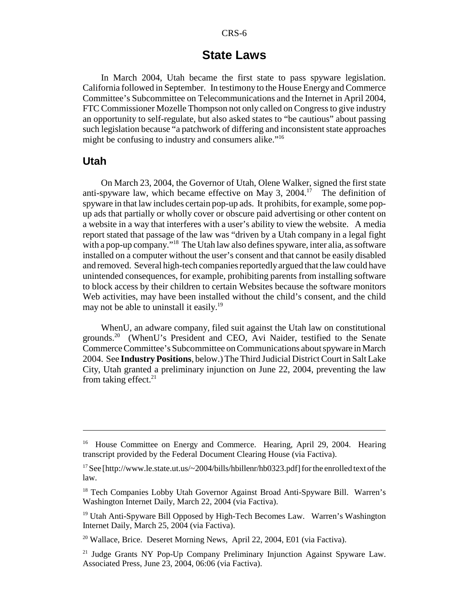#### **State Laws**

In March 2004, Utah became the first state to pass spyware legislation. California followed in September. In testimony to the House Energy and Commerce Committee's Subcommittee on Telecommunications and the Internet in April 2004, FTC Commissioner Mozelle Thompson not only called on Congress to give industry an opportunity to self-regulate, but also asked states to "be cautious" about passing such legislation because "a patchwork of differing and inconsistent state approaches might be confusing to industry and consumers alike."16

#### **Utah**

On March 23, 2004, the Governor of Utah, Olene Walker, signed the first state anti-spyware law, which became effective on May 3,  $2004$ <sup>17</sup> The definition of spyware in that law includes certain pop-up ads. It prohibits, for example, some popup ads that partially or wholly cover or obscure paid advertising or other content on a website in a way that interferes with a user's ability to view the website. A media report stated that passage of the law was "driven by a Utah company in a legal fight with a pop-up company."<sup>18</sup> The Utah law also defines spyware, inter alia, as software installed on a computer without the user's consent and that cannot be easily disabled and removed. Several high-tech companies reportedly argued that the law could have unintended consequences, for example, prohibiting parents from installing software to block access by their children to certain Websites because the software monitors Web activities, may have been installed without the child's consent, and the child may not be able to uninstall it easily.<sup>19</sup>

WhenU, an adware company, filed suit against the Utah law on constitutional grounds.<sup>20</sup> (WhenU's President and CEO, Avi Naider, testified to the Senate Commerce Committee's Subcommittee on Communications about spyware in March 2004. See **Industry Positions**, below.) The Third Judicial District Court in Salt Lake City, Utah granted a preliminary injunction on June 22, 2004, preventing the law from taking effect.<sup>21</sup>

<sup>&</sup>lt;sup>16</sup> House Committee on Energy and Commerce. Hearing, April 29, 2004. Hearing transcript provided by the Federal Document Clearing House (via Factiva).

<sup>&</sup>lt;sup>17</sup> See [http://www.le.state.ut.us/~2004/bills/hbillenr/hb0323.pdf] for the enrolled text of the law.

<sup>&</sup>lt;sup>18</sup> Tech Companies Lobby Utah Governor Against Broad Anti-Spyware Bill. Warren's Washington Internet Daily, March 22, 2004 (via Factiva).

<sup>&</sup>lt;sup>19</sup> Utah Anti-Spyware Bill Opposed by High-Tech Becomes Law. Warren's Washington Internet Daily, March 25, 2004 (via Factiva).

<sup>&</sup>lt;sup>20</sup> Wallace, Brice. Deseret Morning News, April 22, 2004, E01 (via Factiva).

<sup>&</sup>lt;sup>21</sup> Judge Grants NY Pop-Up Company Preliminary Injunction Against Spyware Law. Associated Press, June 23, 2004, 06:06 (via Factiva).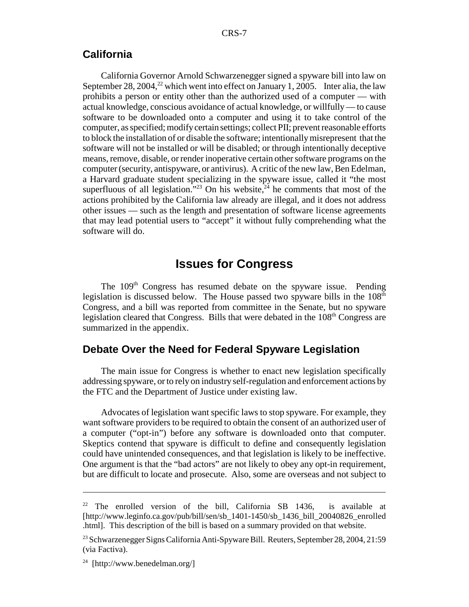#### **California**

California Governor Arnold Schwarzenegger signed a spyware bill into law on September 28, 2004,<sup>22</sup> which went into effect on January 1, 2005. Inter alia, the law prohibits a person or entity other than the authorized used of a computer — with actual knowledge, conscious avoidance of actual knowledge, or willfully — to cause software to be downloaded onto a computer and using it to take control of the computer, as specified; modify certain settings; collect PII; prevent reasonable efforts to block the installation of or disable the software; intentionally misrepresent that the software will not be installed or will be disabled; or through intentionally deceptive means, remove, disable, or render inoperative certain other software programs on the computer (security, antispyware, or antivirus). A critic of the new law, Ben Edelman, a Harvard graduate student specializing in the spyware issue, called it "the most superfluous of all legislation."<sup>23</sup> On his website, $24$  he comments that most of the actions prohibited by the California law already are illegal, and it does not address other issues — such as the length and presentation of software license agreements that may lead potential users to "accept" it without fully comprehending what the software will do.

## **Issues for Congress**

The 109<sup>th</sup> Congress has resumed debate on the spyware issue. Pending legislation is discussed below. The House passed two spyware bills in the  $108<sup>th</sup>$ Congress, and a bill was reported from committee in the Senate, but no spyware legislation cleared that Congress. Bills that were debated in the 108<sup>th</sup> Congress are summarized in the appendix.

## **Debate Over the Need for Federal Spyware Legislation**

The main issue for Congress is whether to enact new legislation specifically addressing spyware, or to rely on industry self-regulation and enforcement actions by the FTC and the Department of Justice under existing law.

Advocates of legislation want specific laws to stop spyware. For example, they want software providers to be required to obtain the consent of an authorized user of a computer ("opt-in") before any software is downloaded onto that computer. Skeptics contend that spyware is difficult to define and consequently legislation could have unintended consequences, and that legislation is likely to be ineffective. One argument is that the "bad actors" are not likely to obey any opt-in requirement, but are difficult to locate and prosecute. Also, some are overseas and not subject to

<sup>22</sup> The enrolled version of the bill, California SB 1436, is available at [http://www.leginfo.ca.gov/pub/bill/sen/sb\_1401-1450/sb\_1436\_bill\_20040826\_enrolled .html]. This description of the bill is based on a summary provided on that website.

<sup>&</sup>lt;sup>23</sup> Schwarzenegger Signs California Anti-Spyware Bill. Reuters, September 28, 2004, 21:59 (via Factiva).

<sup>&</sup>lt;sup>24</sup> [http://www.benedelman.org/]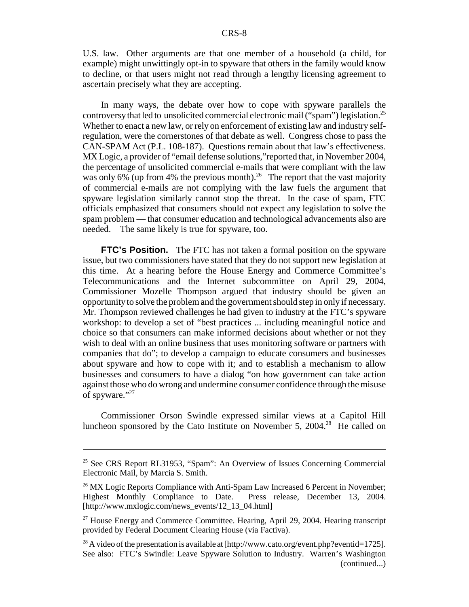U.S. law. Other arguments are that one member of a household (a child, for example) might unwittingly opt-in to spyware that others in the family would know to decline, or that users might not read through a lengthy licensing agreement to ascertain precisely what they are accepting.

In many ways, the debate over how to cope with spyware parallels the controversy that led to unsolicited commercial electronic mail ("spam") legislation.<sup>25</sup> Whether to enact a new law, or rely on enforcement of existing law and industry selfregulation, were the cornerstones of that debate as well. Congress chose to pass the CAN-SPAM Act (P.L. 108-187). Questions remain about that law's effectiveness. MX Logic, a provider of "email defense solutions,"reported that, in November 2004, the percentage of unsolicited commercial e-mails that were compliant with the law was only  $6\%$  (up from 4% the previous month).<sup>26</sup> The report that the vast majority of commercial e-mails are not complying with the law fuels the argument that spyware legislation similarly cannot stop the threat. In the case of spam, FTC officials emphasized that consumers should not expect any legislation to solve the spam problem — that consumer education and technological advancements also are needed. The same likely is true for spyware, too.

**FTC's Position.** The FTC has not taken a formal position on the spyware issue, but two commissioners have stated that they do not support new legislation at this time. At a hearing before the House Energy and Commerce Committee's Telecommunications and the Internet subcommittee on April 29, 2004, Commissioner Mozelle Thompson argued that industry should be given an opportunity to solve the problem and the government should step in only if necessary. Mr. Thompson reviewed challenges he had given to industry at the FTC's spyware workshop: to develop a set of "best practices ... including meaningful notice and choice so that consumers can make informed decisions about whether or not they wish to deal with an online business that uses monitoring software or partners with companies that do"; to develop a campaign to educate consumers and businesses about spyware and how to cope with it; and to establish a mechanism to allow businesses and consumers to have a dialog "on how government can take action against those who do wrong and undermine consumer confidence through the misuse of spyware."27

Commissioner Orson Swindle expressed similar views at a Capitol Hill luncheon sponsored by the Cato Institute on November 5, 2004.<sup>28</sup> He called on

<sup>25</sup> See CRS Report RL31953, "Spam": An Overview of Issues Concerning Commercial Electronic Mail, by Marcia S. Smith.

<sup>&</sup>lt;sup>26</sup> MX Logic Reports Compliance with Anti-Spam Law Increased 6 Percent in November; Highest Monthly Compliance to Date. Press release, December 13, 2004. [http://www.mxlogic.com/news\_events/12\_13\_04.html]

 $27$  House Energy and Commerce Committee. Hearing, April 29, 2004. Hearing transcript provided by Federal Document Clearing House (via Factiva).

<sup>&</sup>lt;sup>28</sup> A video of the presentation is available at [http://www.cato.org/event.php?eventid=1725]. See also: FTC's Swindle: Leave Spyware Solution to Industry. Warren's Washington (continued...)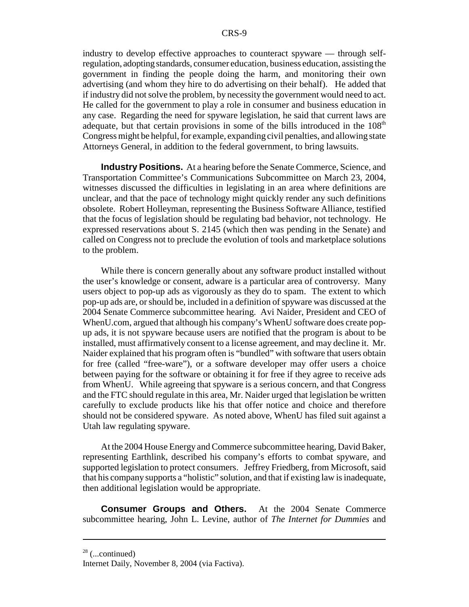industry to develop effective approaches to counteract spyware — through selfregulation, adopting standards, consumer education, business education, assisting the government in finding the people doing the harm, and monitoring their own advertising (and whom they hire to do advertising on their behalf). He added that if industry did not solve the problem, by necessity the government would need to act. He called for the government to play a role in consumer and business education in any case. Regarding the need for spyware legislation, he said that current laws are adequate, but that certain provisions in some of the bills introduced in the  $108<sup>th</sup>$ Congress might be helpful, for example, expanding civil penalties, and allowing state Attorneys General, in addition to the federal government, to bring lawsuits.

**Industry Positions.** At a hearing before the Senate Commerce, Science, and Transportation Committee's Communications Subcommittee on March 23, 2004, witnesses discussed the difficulties in legislating in an area where definitions are unclear, and that the pace of technology might quickly render any such definitions obsolete. Robert Holleyman, representing the Business Software Alliance, testified that the focus of legislation should be regulating bad behavior, not technology. He expressed reservations about S. 2145 (which then was pending in the Senate) and called on Congress not to preclude the evolution of tools and marketplace solutions to the problem.

While there is concern generally about any software product installed without the user's knowledge or consent, adware is a particular area of controversy. Many users object to pop-up ads as vigorously as they do to spam. The extent to which pop-up ads are, or should be, included in a definition of spyware was discussed at the 2004 Senate Commerce subcommittee hearing. Avi Naider, President and CEO of WhenU.com, argued that although his company's WhenU software does create popup ads, it is not spyware because users are notified that the program is about to be installed, must affirmatively consent to a license agreement, and may decline it. Mr. Naider explained that his program often is "bundled" with software that users obtain for free (called "free-ware"), or a software developer may offer users a choice between paying for the software or obtaining it for free if they agree to receive ads from WhenU. While agreeing that spyware is a serious concern, and that Congress and the FTC should regulate in this area, Mr. Naider urged that legislation be written carefully to exclude products like his that offer notice and choice and therefore should not be considered spyware. As noted above, WhenU has filed suit against a Utah law regulating spyware.

At the 2004 House Energy and Commerce subcommittee hearing, David Baker, representing Earthlink, described his company's efforts to combat spyware, and supported legislation to protect consumers. Jeffrey Friedberg, from Microsoft, said that his company supports a "holistic" solution, and that if existing law is inadequate, then additional legislation would be appropriate.

**Consumer Groups and Others.** At the 2004 Senate Commerce subcommittee hearing, John L. Levine, author of *The Internet for Dummies* and

 $28$  (...continued)

Internet Daily, November 8, 2004 (via Factiva).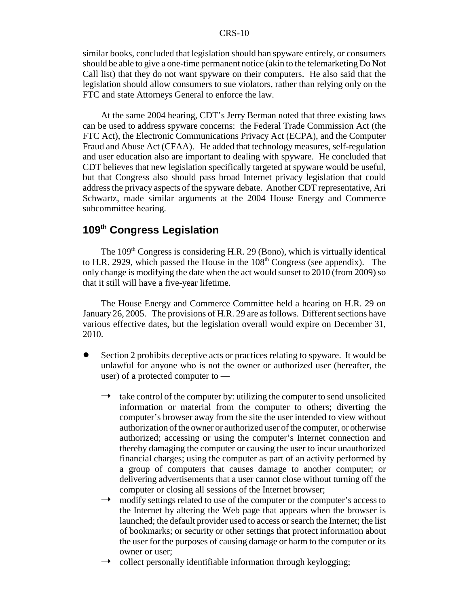#### CRS-10

similar books, concluded that legislation should ban spyware entirely, or consumers should be able to give a one-time permanent notice (akin to the telemarketing Do Not Call list) that they do not want spyware on their computers. He also said that the legislation should allow consumers to sue violators, rather than relying only on the FTC and state Attorneys General to enforce the law.

At the same 2004 hearing, CDT's Jerry Berman noted that three existing laws can be used to address spyware concerns: the Federal Trade Commission Act (the FTC Act), the Electronic Communications Privacy Act (ECPA), and the Computer Fraud and Abuse Act (CFAA). He added that technology measures, self-regulation and user education also are important to dealing with spyware. He concluded that CDT believes that new legislation specifically targeted at spyware would be useful, but that Congress also should pass broad Internet privacy legislation that could address the privacy aspects of the spyware debate. Another CDT representative, Ari Schwartz, made similar arguments at the 2004 House Energy and Commerce subcommittee hearing.

# **109th Congress Legislation**

The  $109<sup>th</sup>$  Congress is considering H.R. 29 (Bono), which is virtually identical to H.R. 2929, which passed the House in the  $108<sup>th</sup>$  Congress (see appendix). The only change is modifying the date when the act would sunset to 2010 (from 2009) so that it still will have a five-year lifetime.

The House Energy and Commerce Committee held a hearing on H.R. 29 on January 26, 2005. The provisions of H.R. 29 are as follows. Different sections have various effective dates, but the legislation overall would expire on December 31, 2010.

- ! Section 2 prohibits deceptive acts or practices relating to spyware. It would be unlawful for anyone who is not the owner or authorized user (hereafter, the user) of a protected computer to
	- take control of the computer by: utilizing the computer to send unsolicited information or material from the computer to others; diverting the computer's browser away from the site the user intended to view without authorization of the owner or authorized user of the computer, or otherwise authorized; accessing or using the computer's Internet connection and thereby damaging the computer or causing the user to incur unauthorized financial charges; using the computer as part of an activity performed by a group of computers that causes damage to another computer; or delivering advertisements that a user cannot close without turning off the computer or closing all sessions of the Internet browser;
	- $\rightarrow$  modify settings related to use of the computer or the computer's access to the Internet by altering the Web page that appears when the browser is launched; the default provider used to access or search the Internet; the list of bookmarks; or security or other settings that protect information about the user for the purposes of causing damage or harm to the computer or its owner or user;
	- ÿ collect personally identifiable information through keylogging;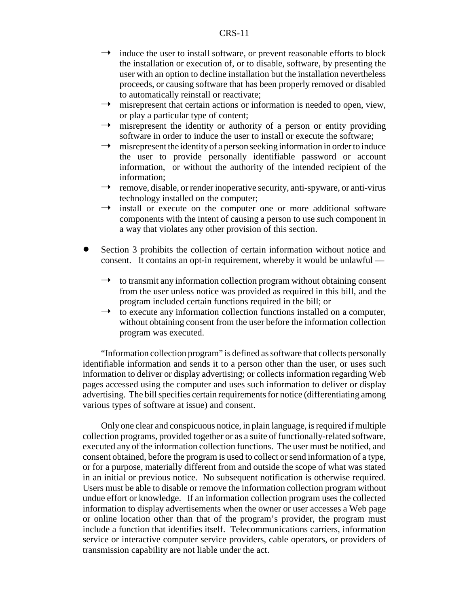#### CRS-11

- $\rightarrow$  induce the user to install software, or prevent reasonable efforts to block the installation or execution of, or to disable, software, by presenting the user with an option to decline installation but the installation nevertheless proceeds, or causing software that has been properly removed or disabled to automatically reinstall or reactivate;
- misrepresent that certain actions or information is needed to open, view, or play a particular type of content;
- $\rightarrow$  misrepresent the identity or authority of a person or entity providing software in order to induce the user to install or execute the software;
- $\rightarrow$  misrepresent the identity of a person seeking information in order to induce the user to provide personally identifiable password or account information, or without the authority of the intended recipient of the information;
- $\rightarrow$  remove, disable, or render inoperative security, anti-spyware, or anti-virus technology installed on the computer;
- $\rightarrow$  install or execute on the computer one or more additional software components with the intent of causing a person to use such component in a way that violates any other provision of this section.
- Section 3 prohibits the collection of certain information without notice and consent. It contains an opt-in requirement, whereby it would be unlawful —
	- $\rightarrow$  to transmit any information collection program without obtaining consent from the user unless notice was provided as required in this bill, and the program included certain functions required in the bill; or
	- $\rightarrow$  to execute any information collection functions installed on a computer, without obtaining consent from the user before the information collection program was executed.

"Information collection program" is defined as software that collects personally identifiable information and sends it to a person other than the user, or uses such information to deliver or display advertising; or collects information regarding Web pages accessed using the computer and uses such information to deliver or display advertising. The bill specifies certain requirements for notice (differentiating among various types of software at issue) and consent.

Only one clear and conspicuous notice, in plain language, is required if multiple collection programs, provided together or as a suite of functionally-related software, executed any of the information collection functions. The user must be notified, and consent obtained, before the program is used to collect or send information of a type, or for a purpose, materially different from and outside the scope of what was stated in an initial or previous notice. No subsequent notification is otherwise required. Users must be able to disable or remove the information collection program without undue effort or knowledge. If an information collection program uses the collected information to display advertisements when the owner or user accesses a Web page or online location other than that of the program's provider, the program must include a function that identifies itself. Telecommunications carriers, information service or interactive computer service providers, cable operators, or providers of transmission capability are not liable under the act.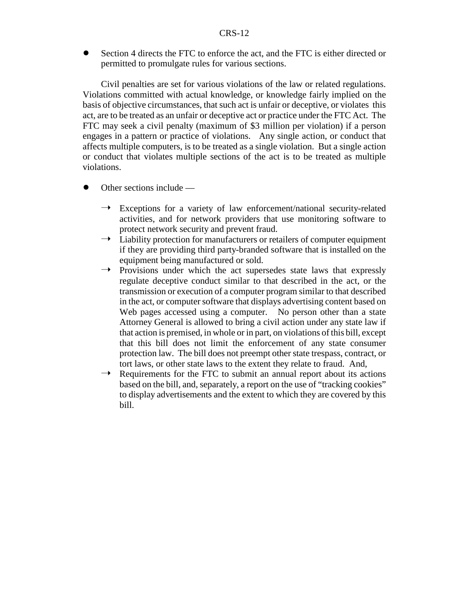! Section 4 directs the FTC to enforce the act, and the FTC is either directed or permitted to promulgate rules for various sections.

Civil penalties are set for various violations of the law or related regulations. Violations committed with actual knowledge, or knowledge fairly implied on the basis of objective circumstances, that such act is unfair or deceptive, or violates this act, are to be treated as an unfair or deceptive act or practice under the FTC Act. The FTC may seek a civil penalty (maximum of \$3 million per violation) if a person engages in a pattern or practice of violations. Any single action, or conduct that affects multiple computers, is to be treated as a single violation. But a single action or conduct that violates multiple sections of the act is to be treated as multiple violations.

- $\bullet$  Other sections include
	- Exceptions for a variety of law enforcement/national security-related activities, and for network providers that use monitoring software to protect network security and prevent fraud.
	- $\rightarrow$  Liability protection for manufacturers or retailers of computer equipment if they are providing third party-branded software that is installed on the equipment being manufactured or sold.
	- $\rightarrow$  Provisions under which the act supersedes state laws that expressly regulate deceptive conduct similar to that described in the act, or the transmission or execution of a computer program similar to that described in the act, or computer software that displays advertising content based on Web pages accessed using a computer. No person other than a state Attorney General is allowed to bring a civil action under any state law if that action is premised, in whole or in part, on violations of this bill, except that this bill does not limit the enforcement of any state consumer protection law. The bill does not preempt other state trespass, contract, or tort laws, or other state laws to the extent they relate to fraud. And,
	- $\rightarrow$  Requirements for the FTC to submit an annual report about its actions based on the bill, and, separately, a report on the use of "tracking cookies" to display advertisements and the extent to which they are covered by this bill.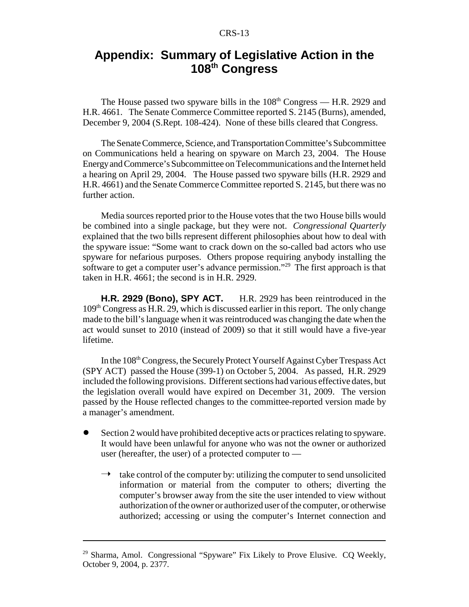# **Appendix: Summary of Legislative Action in the 108th Congress**

The House passed two spyware bills in the  $108<sup>th</sup>$  Congress — H.R. 2929 and H.R. 4661. The Senate Commerce Committee reported S. 2145 (Burns), amended, December 9, 2004 (S.Rept. 108-424). None of these bills cleared that Congress.

The Senate Commerce, Science, and Transportation Committee's Subcommittee on Communications held a hearing on spyware on March 23, 2004. The House Energy and Commerce's Subcommittee on Telecommunications and the Internet held a hearing on April 29, 2004. The House passed two spyware bills (H.R. 2929 and H.R. 4661) and the Senate Commerce Committee reported S. 2145, but there was no further action.

Media sources reported prior to the House votes that the two House bills would be combined into a single package, but they were not. *Congressional Quarterly* explained that the two bills represent different philosophies about how to deal with the spyware issue: "Some want to crack down on the so-called bad actors who use spyware for nefarious purposes. Others propose requiring anybody installing the software to get a computer user's advance permission."<sup>29</sup> The first approach is that taken in H.R. 4661; the second is in H.R. 2929.

**H.R. 2929 (Bono), SPY ACT.** H.R. 2929 has been reintroduced in the 109th Congress as H.R. 29, which is discussed earlier in this report. The only change made to the bill's language when it was reintroduced was changing the date when the act would sunset to 2010 (instead of 2009) so that it still would have a five-year lifetime.

In the 108<sup>th</sup> Congress, the Securely Protect Yourself Against Cyber Trespass Act (SPY ACT) passed the House (399-1) on October 5, 2004. As passed, H.R. 2929 included the following provisions. Different sections had various effective dates, but the legislation overall would have expired on December 31, 2009. The version passed by the House reflected changes to the committee-reported version made by a manager's amendment.

- ! Section 2 would have prohibited deceptive acts or practices relating to spyware. It would have been unlawful for anyone who was not the owner or authorized user (hereafter, the user) of a protected computer to —
	- $\rightarrow$  take control of the computer by: utilizing the computer to send unsolicited information or material from the computer to others; diverting the computer's browser away from the site the user intended to view without authorization of the owner or authorized user of the computer, or otherwise authorized; accessing or using the computer's Internet connection and

<sup>&</sup>lt;sup>29</sup> Sharma, Amol. Congressional "Spyware" Fix Likely to Prove Elusive. CQ Weekly, October 9, 2004, p. 2377.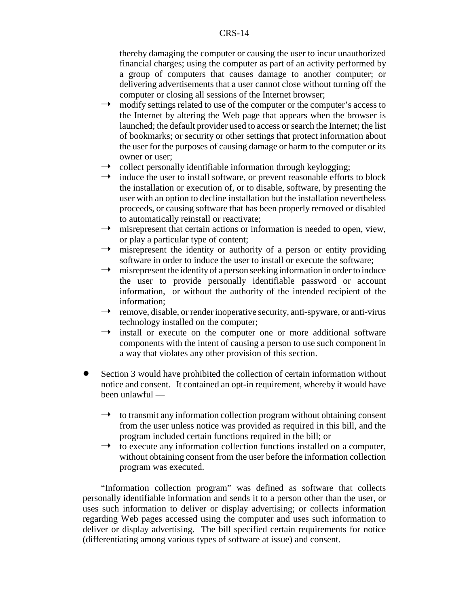thereby damaging the computer or causing the user to incur unauthorized financial charges; using the computer as part of an activity performed by a group of computers that causes damage to another computer; or delivering advertisements that a user cannot close without turning off the computer or closing all sessions of the Internet browser;

- $\rightarrow$  modify settings related to use of the computer or the computer's access to the Internet by altering the Web page that appears when the browser is launched; the default provider used to access or search the Internet; the list of bookmarks; or security or other settings that protect information about the user for the purposes of causing damage or harm to the computer or its owner or user;
- $\rightarrow$  collect personally identifiable information through keylogging;
- $\rightarrow$  induce the user to install software, or prevent reasonable efforts to block the installation or execution of, or to disable, software, by presenting the user with an option to decline installation but the installation nevertheless proceeds, or causing software that has been properly removed or disabled to automatically reinstall or reactivate;
- $\rightarrow$  misrepresent that certain actions or information is needed to open, view, or play a particular type of content;
- $\rightarrow$  misrepresent the identity or authority of a person or entity providing software in order to induce the user to install or execute the software;
- $\rightarrow$  misrepresent the identity of a person seeking information in order to induce the user to provide personally identifiable password or account information, or without the authority of the intended recipient of the information;
- $\rightarrow$  remove, disable, or render inoperative security, anti-spyware, or anti-virus technology installed on the computer;
- $\rightarrow$  install or execute on the computer one or more additional software components with the intent of causing a person to use such component in a way that violates any other provision of this section.
- ! Section 3 would have prohibited the collection of certain information without notice and consent. It contained an opt-in requirement, whereby it would have been unlawful —
	- $\rightarrow$  to transmit any information collection program without obtaining consent from the user unless notice was provided as required in this bill, and the program included certain functions required in the bill; or
	- $\rightarrow$  to execute any information collection functions installed on a computer, without obtaining consent from the user before the information collection program was executed.

"Information collection program" was defined as software that collects personally identifiable information and sends it to a person other than the user, or uses such information to deliver or display advertising; or collects information regarding Web pages accessed using the computer and uses such information to deliver or display advertising. The bill specified certain requirements for notice (differentiating among various types of software at issue) and consent.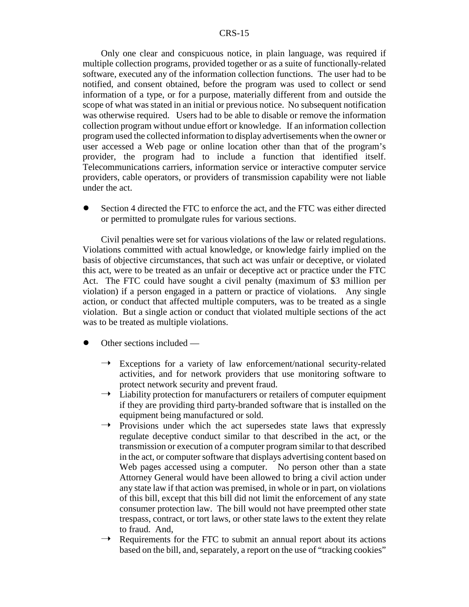#### CRS-15

Only one clear and conspicuous notice, in plain language, was required if multiple collection programs, provided together or as a suite of functionally-related software, executed any of the information collection functions. The user had to be notified, and consent obtained, before the program was used to collect or send information of a type, or for a purpose, materially different from and outside the scope of what was stated in an initial or previous notice. No subsequent notification was otherwise required. Users had to be able to disable or remove the information collection program without undue effort or knowledge. If an information collection program used the collected information to display advertisements when the owner or user accessed a Web page or online location other than that of the program's provider, the program had to include a function that identified itself. Telecommunications carriers, information service or interactive computer service providers, cable operators, or providers of transmission capability were not liable under the act.

Section 4 directed the FTC to enforce the act, and the FTC was either directed or permitted to promulgate rules for various sections.

Civil penalties were set for various violations of the law or related regulations. Violations committed with actual knowledge, or knowledge fairly implied on the basis of objective circumstances, that such act was unfair or deceptive, or violated this act, were to be treated as an unfair or deceptive act or practice under the FTC Act. The FTC could have sought a civil penalty (maximum of \$3 million per violation) if a person engaged in a pattern or practice of violations. Any single action, or conduct that affected multiple computers, was to be treated as a single violation. But a single action or conduct that violated multiple sections of the act was to be treated as multiple violations.

- Other sections included
	- $\rightarrow$  Exceptions for a variety of law enforcement/national security-related activities, and for network providers that use monitoring software to protect network security and prevent fraud.
	- $\rightarrow$  Liability protection for manufacturers or retailers of computer equipment if they are providing third party-branded software that is installed on the equipment being manufactured or sold.
	- $\rightarrow$  Provisions under which the act supersedes state laws that expressly regulate deceptive conduct similar to that described in the act, or the transmission or execution of a computer program similar to that described in the act, or computer software that displays advertising content based on Web pages accessed using a computer. No person other than a state Attorney General would have been allowed to bring a civil action under any state law if that action was premised, in whole or in part, on violations of this bill, except that this bill did not limit the enforcement of any state consumer protection law. The bill would not have preempted other state trespass, contract, or tort laws, or other state laws to the extent they relate to fraud. And,
	- Requirements for the FTC to submit an annual report about its actions based on the bill, and, separately, a report on the use of "tracking cookies"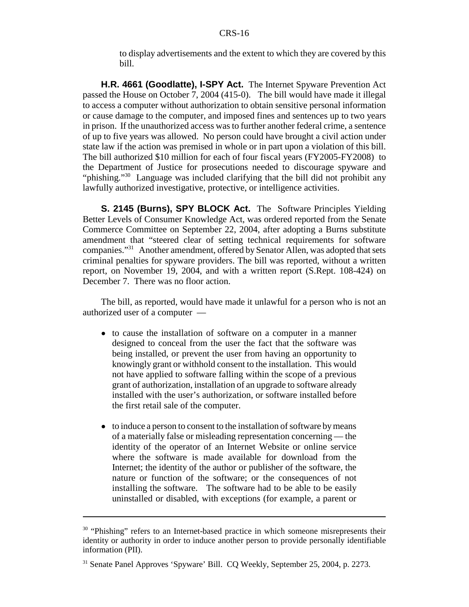to display advertisements and the extent to which they are covered by this bill.

**H.R. 4661 (Goodlatte), I-SPY Act.** The Internet Spyware Prevention Act passed the House on October 7, 2004 (415-0). The bill would have made it illegal to access a computer without authorization to obtain sensitive personal information or cause damage to the computer, and imposed fines and sentences up to two years in prison. If the unauthorized access was to further another federal crime, a sentence of up to five years was allowed. No person could have brought a civil action under state law if the action was premised in whole or in part upon a violation of this bill. The bill authorized \$10 million for each of four fiscal years (FY2005-FY2008) to the Department of Justice for prosecutions needed to discourage spyware and "phishing."<sup>30</sup> Language was included clarifying that the bill did not prohibit any lawfully authorized investigative, protective, or intelligence activities.

**S. 2145 (Burns), SPY BLOCK Act.** The Software Principles Yielding Better Levels of Consumer Knowledge Act, was ordered reported from the Senate Commerce Committee on September 22, 2004, after adopting a Burns substitute amendment that "steered clear of setting technical requirements for software companies."31 Another amendment, offered by Senator Allen, was adopted that sets criminal penalties for spyware providers. The bill was reported, without a written report, on November 19, 2004, and with a written report (S.Rept. 108-424) on December 7. There was no floor action.

The bill, as reported, would have made it unlawful for a person who is not an authorized user of a computer —

- ! to cause the installation of software on a computer in a manner designed to conceal from the user the fact that the software was being installed, or prevent the user from having an opportunity to knowingly grant or withhold consent to the installation. This would not have applied to software falling within the scope of a previous grant of authorization, installation of an upgrade to software already installed with the user's authorization, or software installed before the first retail sale of the computer.
- to induce a person to consent to the installation of software by means of a materially false or misleading representation concerning — the identity of the operator of an Internet Website or online service where the software is made available for download from the Internet; the identity of the author or publisher of the software, the nature or function of the software; or the consequences of not installing the software. The software had to be able to be easily uninstalled or disabled, with exceptions (for example, a parent or

<sup>&</sup>lt;sup>30</sup> "Phishing" refers to an Internet-based practice in which someone misrepresents their identity or authority in order to induce another person to provide personally identifiable information (PII).

<sup>31</sup> Senate Panel Approves 'Spyware' Bill. CQ Weekly, September 25, 2004, p. 2273.